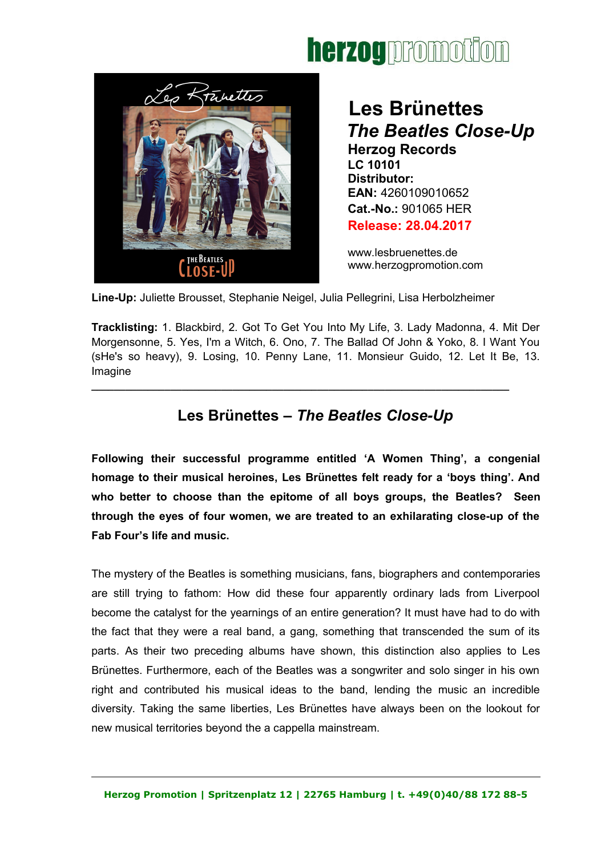# herzog promotion



 **Les Brünettes**  *The Beatles Close-Up* **Herzog Records LC 10101 Distributor: EAN:** 4260109010652 **Cat.-No.:** 901065 HER **Release: 28.04.2017**

www.lesbruenettes.de [www.herzogpromotion.com](http://www.herzogpromotion.com/)

**Line-Up:** Juliette Brousset, Stephanie Neigel, Julia Pellegrini, Lisa Herbolzheimer

**Tracklisting:** 1. Blackbird, 2. Got To Get You Into My Life, 3. Lady Madonna, 4. Mit Der Morgensonne, 5. Yes, I'm a Witch, 6. Ono, 7. The Ballad Of John & Yoko, 8. I Want You (sHe's so heavy), 9. Losing, 10. Penny Lane, 11. Monsieur Guido, 12. Let It Be, 13. Imagine

#### **Les Brünettes –** *The Beatles Close-Up*

**\_\_\_\_\_\_\_\_\_\_\_\_\_\_\_\_\_\_\_\_\_\_\_\_\_\_\_\_\_\_\_\_\_\_\_\_\_\_\_\_\_\_\_\_\_\_\_\_\_\_\_\_\_\_\_\_\_\_\_\_\_\_\_\_\_\_\_\_\_\_\_\_\_\_**

**Following their successful programme entitled 'A Women Thing', a congenial homage to their musical heroines, Les Brünettes felt ready for a 'boys thing'. And who better to choose than the epitome of all boys groups, the Beatles? Seen through the eyes of four women, we are treated to an exhilarating close-up of the Fab Four's life and music.** 

The mystery of the Beatles is something musicians, fans, biographers and contemporaries are still trying to fathom: How did these four apparently ordinary lads from Liverpool become the catalyst for the yearnings of an entire generation? It must have had to do with the fact that they were a real band, a gang, something that transcended the sum of its parts. As their two preceding albums have shown, this distinction also applies to Les Brünettes. Furthermore, each of the Beatles was a songwriter and solo singer in his own right and contributed his musical ideas to the band, lending the music an incredible diversity. Taking the same liberties, Les Brünettes have always been on the lookout for new musical territories beyond the a cappella mainstream.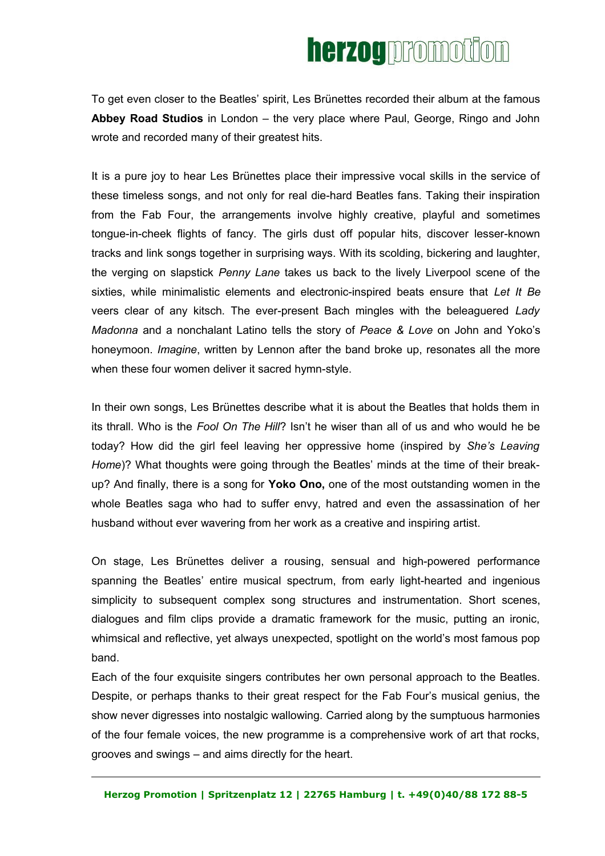## herzog promotion

To get even closer to the Beatles' spirit, Les Brünettes recorded their album at the famous **Abbey Road Studios** in London – the very place where Paul, George, Ringo and John wrote and recorded many of their greatest hits.

It is a pure joy to hear Les Brünettes place their impressive vocal skills in the service of these timeless songs, and not only for real die-hard Beatles fans. Taking their inspiration from the Fab Four, the arrangements involve highly creative, playful and sometimes tongue-in-cheek flights of fancy. The girls dust off popular hits, discover lesser-known tracks and link songs together in surprising ways. With its scolding, bickering and laughter, the verging on slapstick *Penny Lane* takes us back to the lively Liverpool scene of the sixties, while minimalistic elements and electronic-inspired beats ensure that *Let It Be* veers clear of any kitsch. The ever-present Bach mingles with the beleaguered *Lady Madonna* and a nonchalant Latino tells the story of *Peace & Love* on John and Yoko's honeymoon. *Imagine*, written by Lennon after the band broke up, resonates all the more when these four women deliver it sacred hymn-style.

In their own songs, Les Brünettes describe what it is about the Beatles that holds them in its thrall. Who is the *Fool On The Hill*? Isn't he wiser than all of us and who would he be today? How did the girl feel leaving her oppressive home (inspired by *She's Leaving Home*)? What thoughts were going through the Beatles' minds at the time of their breakup? And finally, there is a song for **Yoko Ono,** one of the most outstanding women in the whole Beatles saga who had to suffer envy, hatred and even the assassination of her husband without ever wavering from her work as a creative and inspiring artist.

On stage, Les Brünettes deliver a rousing, sensual and high-powered performance spanning the Beatles' entire musical spectrum, from early light-hearted and ingenious simplicity to subsequent complex song structures and instrumentation. Short scenes, dialogues and film clips provide a dramatic framework for the music, putting an ironic, whimsical and reflective, yet always unexpected, spotlight on the world's most famous pop band.

Each of the four exquisite singers contributes her own personal approach to the Beatles. Despite, or perhaps thanks to their great respect for the Fab Four's musical genius, the show never digresses into nostalgic wallowing. Carried along by the sumptuous harmonies of the four female voices, the new programme is a comprehensive work of art that rocks, grooves and swings – and aims directly for the heart.